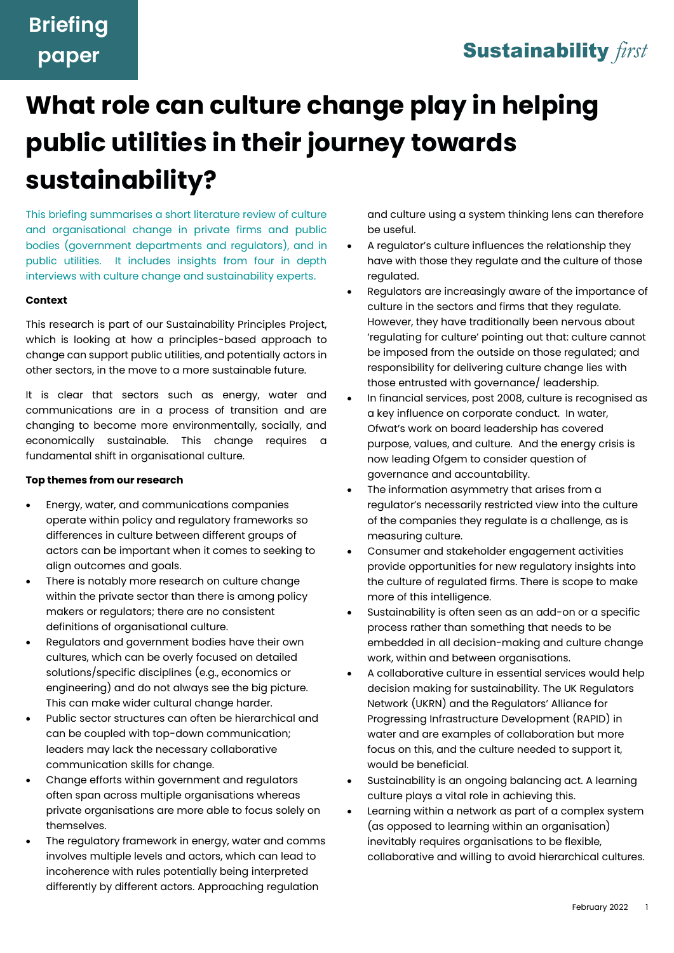### **Sustainability first**

# **What role can culture change play in helping public utilities in their journey towards sustainability?**

This briefing summarises a short literature review of culture and organisational change in private firms and public bodies (government departments and regulators), and in public utilities. It includes insights from four in depth interviews with culture change and sustainability experts.

#### **Context**

This research is part of our Sustainability Principles Project, which is looking at how a principles-based approach to change can support public utilities, and potentially actors in other sectors, in the move to a more sustainable future.

It is clear that sectors such as energy, water and communications are in a process of transition and are changing to become more environmentally, socially, and economically sustainable. This change requires fundamental shift in organisational culture.

### **Top themes from our research**

- Energy, water, and communications companies operate within policy and regulatory frameworks so differences in culture between different groups of actors can be important when it comes to seeking to align outcomes and goals.
- There is notably more research on culture change within the private sector than there is among policy makers or regulators; there are no consistent definitions of organisational culture.
- Regulators and government bodies have their own cultures, which can be overly focused on detailed solutions/specific disciplines (e.g., economics or engineering) and do not always see the big picture. This can make wider cultural change harder.
- Public sector structures can often be hierarchical and can be coupled with top-down communication; leaders may lack the necessary collaborative communication skills for change.
- Change efforts within government and regulators often span across multiple organisations whereas private organisations are more able to focus solely on themselves.
- The regulatory framework in energy, water and comms involves multiple levels and actors, which can lead to incoherence with rules potentially being interpreted differently by different actors. Approaching regulation

and culture using a system thinking lens can therefore be useful.

- A regulator's culture influences the relationship they have with those they regulate and the culture of those regulated.
- Regulators are increasingly aware of the importance of culture in the sectors and firms that they regulate. However, they have traditionally been nervous about 'regulating for culture' pointing out that: culture cannot be imposed from the outside on those regulated; and responsibility for delivering culture change lies with those entrusted with governance/ leadership.
- In financial services, post 2008, culture is recognised as a key influence on corporate conduct. In water, Ofwat's work on board leadership has covered purpose, values, and culture. And the energy crisis is now leading Ofgem to consider question of governance and accountability.
- The information asymmetry that arises from a regulator's necessarily restricted view into the culture of the companies they regulate is a challenge, as is measuring culture.
- Consumer and stakeholder engagement activities provide opportunities for new regulatory insights into the culture of regulated firms. There is scope to make more of this intelligence.
- Sustainability is often seen as an add-on or a specific process rather than something that needs to be embedded in all decision-making and culture change work, within and between organisations.
- A collaborative culture in essential services would help decision making for sustainability. The UK Regulators Network (UKRN) and the Regulators' Alliance for Progressing Infrastructure Development (RAPID) in water and are examples of collaboration but more focus on this, and the culture needed to support it, would be beneficial.
- Sustainability is an ongoing balancing act. A learning culture plays a vital role in achieving this.
- Learning within a network as part of a complex system (as opposed to learning within an organisation) inevitably requires organisations to be flexible, collaborative and willing to avoid hierarchical cultures.